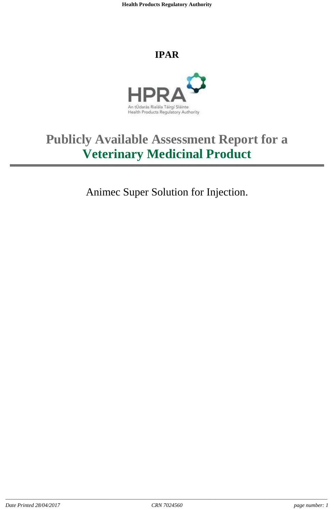**Health Products Regulatory Authority**

## **IPAR**



# **Publicly Available Assessment Report for a Veterinary Medicinal Product**

Animec Super Solution for Injection.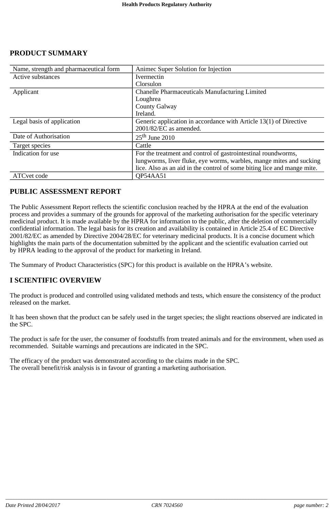| Name, strength and pharmaceutical form | Animec Super Solution for Injection                                     |  |
|----------------------------------------|-------------------------------------------------------------------------|--|
| Active substances                      | Ivermectin                                                              |  |
|                                        | Clorsulon                                                               |  |
| Applicant                              | <b>Chanelle Pharmaceuticals Manufacturing Limited</b>                   |  |
|                                        | Loughrea                                                                |  |
|                                        | <b>County Galway</b>                                                    |  |
|                                        | Ireland.                                                                |  |
| Legal basis of application             | Generic application in accordance with Article 13(1) of Directive       |  |
|                                        | 2001/82/EC as amended.                                                  |  |
| Date of Authorisation                  | $25th$ June 2010                                                        |  |
| Target species                         | Cattle                                                                  |  |
| Indication for use                     | For the treatment and control of gastrointestinal roundworms,           |  |
|                                        | lungworms, liver fluke, eye worms, warbles, mange mites and sucking     |  |
|                                        | lice. Also as an aid in the control of some biting lice and mange mite. |  |
| ATC vet code                           | <b>OP54AA51</b>                                                         |  |

## **PUBLIC ASSESSMENT REPORT**

The Public Assessment Report reflects the scientific conclusion reached by the HPRA at the end of the evaluation process and provides a summary of the grounds for approval of the marketing authorisation for the specific veterinary medicinal product. It is made available by the HPRA for information to the public, after the deletion of commercially confidential information. The legal basis for its creation and availability is contained in Article 25.4 of EC Directive 2001/82/EC as amended by Directive 2004/28/EC for veterinary medicinal products. It is a concise document which highlights the main parts of the documentation submitted by the applicant and the scientific evaluation carried out by HPRA leading to the approval of the product for marketing in Ireland.

The Summary of Product Characteristics (SPC) for this product is available on the HPRA's website.

## **I SCIENTIFIC OVERVIEW**

The product is produced and controlled using validated methods and tests, which ensure the consistency of the product released on the market.

It has been shown that the product can be safely used in the target species; the slight reactions observed are indicated in the SPC.

The product is safe for the user, the consumer of foodstuffs from treated animals and for the environment, when used as recommended. Suitable warnings and precautions are indicated in the SPC.

The efficacy of the product was demonstrated according to the claims made in the SPC. The overall benefit/risk analysis is in favour of granting a marketing authorisation.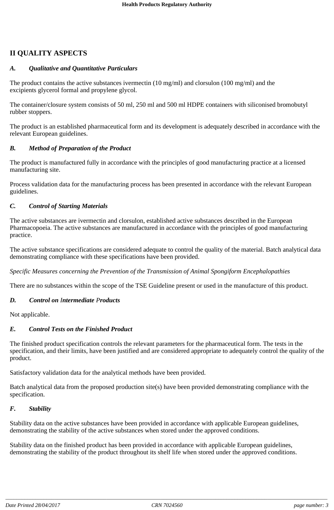## **II QUALITY ASPECTS**

## *A. Qualitative and Quantitative Particulars*

The product contains the active substances ivermectin (10 mg/ml) and clorsulon (100 mg/ml) and the excipients glycerol formal and propylene glycol.

The container/closure system consists of 50 ml, 250 ml and 500 ml HDPE containers with siliconised bromobutyl rubber stoppers.

The product is an established pharmaceutical form and its development is adequately described in accordance with the relevant European guidelines.

#### *B. Method of Preparation of the Product*

The product is manufactured fully in accordance with the principles of good manufacturing practice at a licensed manufacturing site.

Process validation data for the manufacturing process has been presented in accordance with the relevant European guidelines.

## *C. Control of Starting Materials*

The active substances are ivermectin and clorsulon, established active substances described in the European Pharmacopoeia. The active substances are manufactured in accordance with the principles of good manufacturing practice.

The active substance specifications are considered adequate to control the quality of the material. Batch analytical data demonstrating compliance with these specifications have been provided.

*Specific Measures concerning the Prevention of the Transmission of Animal Spongiform Encephalopathies*

There are no substances within the scope of the TSE Guideline present or used in the manufacture of this product.

#### *D. Control on Intermediate Products*

Not applicable.

#### *E. Control Tests on the Finished Product*

The finished product specification controls the relevant parameters for the pharmaceutical form. The tests in the specification, and their limits, have been justified and are considered appropriate to adequately control the quality of the product.

Satisfactory validation data for the analytical methods have been provided.

Batch analytical data from the proposed production site(s) have been provided demonstrating compliance with the specification.

#### *F. Stability*

Stability data on the active substances have been provided in accordance with applicable European guidelines, demonstrating the stability of the active substances when stored under the approved conditions.

Stability data on the finished product has been provided in accordance with applicable European guidelines, demonstrating the stability of the product throughout its shelf life when stored under the approved conditions.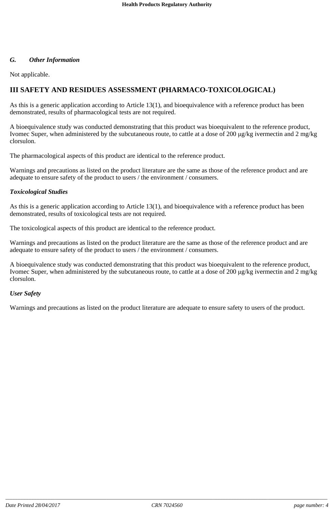#### *G. Other Information*

Not applicable.

#### **III SAFETY AND RESIDUES ASSESSMENT (PHARMACO-TOXICOLOGICAL)**

As this is a generic application according to Article 13(1), and bioequivalence with a reference product has been demonstrated, results of pharmacological tests are not required.

A bioequivalence study was conducted demonstrating that this product was bioequivalent to the reference product, Ivomec Super, when administered by the subcutaneous route, to cattle at a dose of 200 µg/kg ivermectin and 2 mg/kg clorsulon.

The pharmacological aspects of this product are identical to the reference product.

Warnings and precautions as listed on the product literature are the same as those of the reference product and are adequate to ensure safety of the product to users / the environment / consumers.

#### *Toxicological Studies*

As this is a generic application according to Article 13(1), and bioequivalence with a reference product has been demonstrated, results of toxicological tests are not required.

The toxicological aspects of this product are identical to the reference product.

Warnings and precautions as listed on the product literature are the same as those of the reference product and are adequate to ensure safety of the product to users / the environment / consumers.

A bioequivalence study was conducted demonstrating that this product was bioequivalent to the reference product, Ivomec Super, when administered by the subcutaneous route, to cattle at a dose of 200 µg/kg ivermectin and 2 mg/kg clorsulon.

#### *User Safety*

Warnings and precautions as listed on the product literature are adequate to ensure safety to users of the product.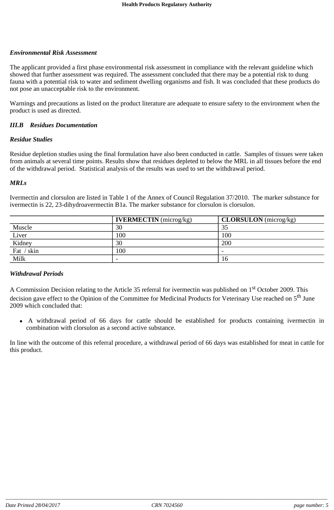#### *Environmental Risk Assessment*

The applicant provided a first phase environmental risk assessment in compliance with the relevant guideline which showed that further assessment was required. The assessment concluded that there may be a potential risk to dung fauna with a potential risk to water and sediment dwelling organisms and fish. It was concluded that these products do not pose an unacceptable risk to the environment.

Warnings and precautions as listed on the product literature are adequate to ensure safety to the environment when the product is used as directed.

#### *III.B Residues Documentation*

#### *Residue Studies*

Residue depletion studies using the final formulation have also been conducted in cattle. Samples of tissues were taken from animals at several time points. Results show that residues depleted to below the MRL in all tissues before the end of the withdrawal period. Statistical analysis of the results was used to set the withdrawal period.

#### *MRLs*

Ivermectin and clorsulon are listed in Table 1 of the Annex of Council Regulation 37/2010. The marker substance for ivermectin is 22, 23-dihydroavermectin B1a. The marker substance for clorsulon is clorsulon.

|            | <b>IVERMECTIN</b> (microg/kg) | <b>CLORSULON</b> (microg/kg) |
|------------|-------------------------------|------------------------------|
| Muscle     | 30                            | 35                           |
| Liver      | 100                           | 100                          |
| Kidney     | 30                            | 200                          |
| Fat / skin | 100                           | -                            |
| Milk       | $\overline{\phantom{a}}$      | 16                           |

#### *Withdrawal Periods*

A Commission Decision relating to the Article 35 referral for ivermectin was published on 1<sup>st</sup> October 2009. This decision gave effect to the Opinion of the Committee for Medicinal Products for Veterinary Use reached on 5<sup>th</sup> June 2009 which concluded that:

 A withdrawal period of 66 days for cattle should be established for products containing ivermectin in combination with clorsulon as a second active substance.

In line with the outcome of this referral procedure, a withdrawal period of 66 days was established for meat in cattle for this product.